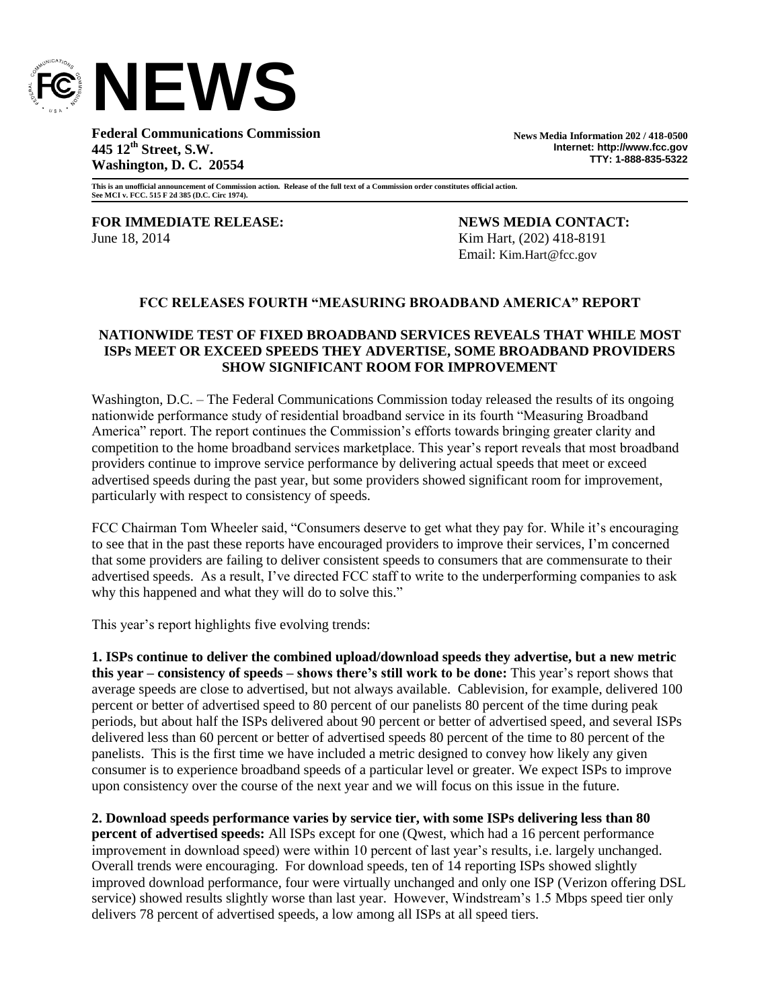

**Federal Communications Commission 445 12th Street, S.W. Washington, D. C. 20554**

**News Media Information 202 / 418-0500 Internet: http://www.fcc.gov TTY: 1-888-835-5322**

**This is an unofficial announcement of Commission action. Release of the full text of a Commission order constitutes official action. See MCI v. FCC. 515 F 2d 385 (D.C. Circ 1974).**

**FOR IMMEDIATE RELEASE: NEWS MEDIA CONTACT:** June 18, 2014 **Kim Hart**, (202) 418-8191

Email: Kim.Hart@fcc.gov

#### **FCC RELEASES FOURTH "MEASURING BROADBAND AMERICA" REPORT**

### **NATIONWIDE TEST OF FIXED BROADBAND SERVICES REVEALS THAT WHILE MOST ISPs MEET OR EXCEED SPEEDS THEY ADVERTISE, SOME BROADBAND PROVIDERS SHOW SIGNIFICANT ROOM FOR IMPROVEMENT**

Washington, D.C. – The Federal Communications Commission today released the results of its ongoing nationwide performance study of residential broadband service in its fourth "Measuring Broadband America" report. The report continues the Commission's efforts towards bringing greater clarity and competition to the home broadband services marketplace. This year's report reveals that most broadband providers continue to improve service performance by delivering actual speeds that meet or exceed advertised speeds during the past year, but some providers showed significant room for improvement, particularly with respect to consistency of speeds.

FCC Chairman Tom Wheeler said, "Consumers deserve to get what they pay for. While it's encouraging to see that in the past these reports have encouraged providers to improve their services, I'm concerned that some providers are failing to deliver consistent speeds to consumers that are commensurate to their advertised speeds. As a result, I've directed FCC staff to write to the underperforming companies to ask why this happened and what they will do to solve this."

This year's report highlights five evolving trends:

**1. ISPs continue to deliver the combined upload/download speeds they advertise, but a new metric this year – consistency of speeds – shows there's still work to be done:** This year's report shows that average speeds are close to advertised, but not always available. Cablevision, for example, delivered 100 percent or better of advertised speed to 80 percent of our panelists 80 percent of the time during peak periods, but about half the ISPs delivered about 90 percent or better of advertised speed, and several ISPs delivered less than 60 percent or better of advertised speeds 80 percent of the time to 80 percent of the panelists. This is the first time we have included a metric designed to convey how likely any given consumer is to experience broadband speeds of a particular level or greater. We expect ISPs to improve upon consistency over the course of the next year and we will focus on this issue in the future.

**2. Download speeds performance varies by service tier, with some ISPs delivering less than 80 percent of advertised speeds:** All ISPs except for one (Qwest, which had a 16 percent performance improvement in download speed) were within 10 percent of last year's results, i.e. largely unchanged. Overall trends were encouraging. For download speeds, ten of 14 reporting ISPs showed slightly improved download performance, four were virtually unchanged and only one ISP (Verizon offering DSL service) showed results slightly worse than last year. However, Windstream's 1.5 Mbps speed tier only delivers 78 percent of advertised speeds, a low among all ISPs at all speed tiers.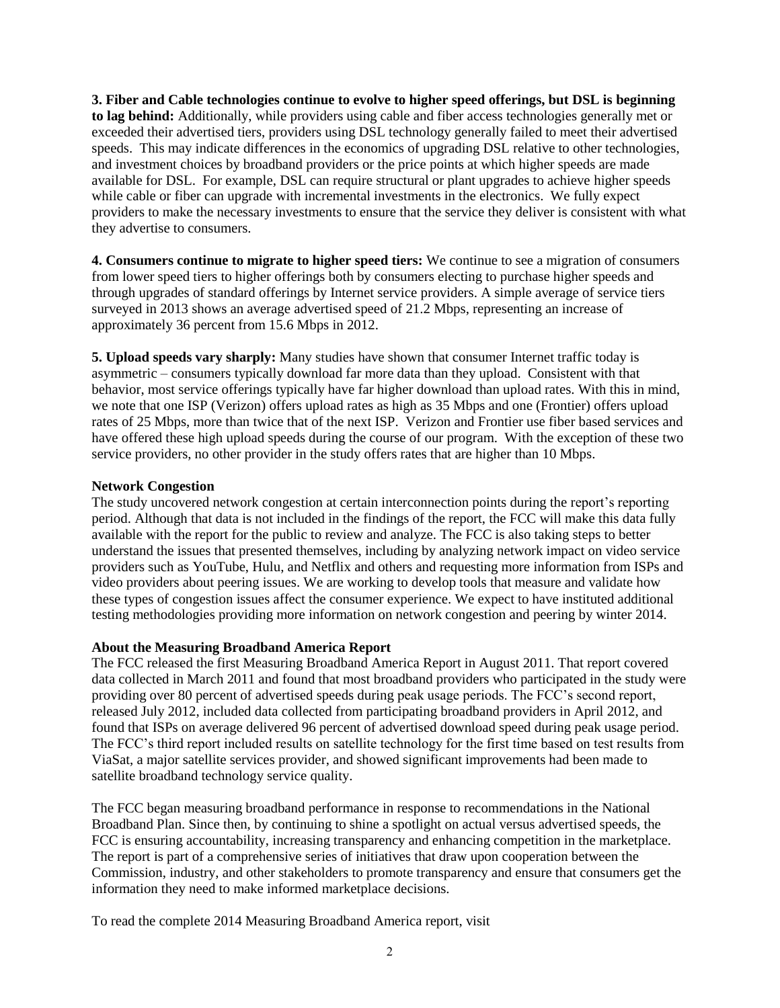**3. Fiber and Cable technologies continue to evolve to higher speed offerings, but DSL is beginning to lag behind:** Additionally, while providers using cable and fiber access technologies generally met or exceeded their advertised tiers, providers using DSL technology generally failed to meet their advertised speeds. This may indicate differences in the economics of upgrading DSL relative to other technologies, and investment choices by broadband providers or the price points at which higher speeds are made available for DSL. For example, DSL can require structural or plant upgrades to achieve higher speeds while cable or fiber can upgrade with incremental investments in the electronics. We fully expect providers to make the necessary investments to ensure that the service they deliver is consistent with what they advertise to consumers.

**4. Consumers continue to migrate to higher speed tiers:** We continue to see a migration of consumers from lower speed tiers to higher offerings both by consumers electing to purchase higher speeds and through upgrades of standard offerings by Internet service providers. A simple average of service tiers surveyed in 2013 shows an average advertised speed of 21.2 Mbps, representing an increase of approximately 36 percent from 15.6 Mbps in 2012.

**5. Upload speeds vary sharply:** Many studies have shown that consumer Internet traffic today is asymmetric – consumers typically download far more data than they upload. Consistent with that behavior, most service offerings typically have far higher download than upload rates. With this in mind, we note that one ISP (Verizon) offers upload rates as high as 35 Mbps and one (Frontier) offers upload rates of 25 Mbps, more than twice that of the next ISP. Verizon and Frontier use fiber based services and have offered these high upload speeds during the course of our program. With the exception of these two service providers, no other provider in the study offers rates that are higher than 10 Mbps.

#### **Network Congestion**

The study uncovered network congestion at certain interconnection points during the report's reporting period. Although that data is not included in the findings of the report, the FCC will make this data fully available with the report for the public to review and analyze. The FCC is also taking steps to better understand the issues that presented themselves, including by analyzing network impact on video service providers such as YouTube, Hulu, and Netflix and others and requesting more information from ISPs and video providers about peering issues. We are working to develop tools that measure and validate how these types of congestion issues affect the consumer experience. We expect to have instituted additional testing methodologies providing more information on network congestion and peering by winter 2014.

## **About the Measuring Broadband America Report**

The FCC released the first Measuring Broadband America Report in August 2011. That report covered data collected in March 2011 and found that most broadband providers who participated in the study were providing over 80 percent of advertised speeds during peak usage periods. The FCC's second report, released July 2012, included data collected from participating broadband providers in April 2012, and found that ISPs on average delivered 96 percent of advertised download speed during peak usage period. The FCC's third report included results on satellite technology for the first time based on test results from ViaSat, a major satellite services provider, and showed significant improvements had been made to satellite broadband technology service quality.

The FCC began measuring broadband performance in response to recommendations in the National Broadband Plan. Since then, by continuing to shine a spotlight on actual versus advertised speeds, the FCC is ensuring accountability, increasing transparency and enhancing competition in the marketplace. The report is part of a comprehensive series of initiatives that draw upon cooperation between the Commission, industry, and other stakeholders to promote transparency and ensure that consumers get the information they need to make informed marketplace decisions.

To read the complete 2014 Measuring Broadband America report, visit